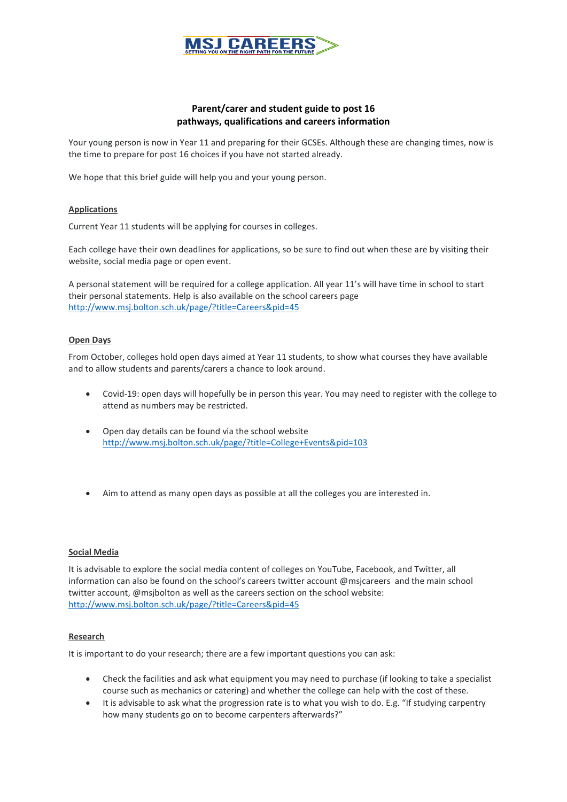

# **Parent/carer and student guide to post 16 pathways, qualifications and careers information**

Your young person is now in Year 11 and preparing for their GCSEs. Although these are changing times, now is the time to prepare for post 16 choices if you have not started already.

We hope that this brief guide will help you and your young person.

## **Applications**

Current Year 11 students will be applying for courses in colleges.

Each college have their own deadlines for applications, so be sure to find out when these are by visiting their website, social media page or open event.

A personal statement will be required for a college application. All year 11's will have time in school to start their personal statements. Help is also available on the school careers page <http://www.msj.bolton.sch.uk/page/?title=Careers&pid=45>

#### **Open Days**

From October, colleges hold open days aimed at Year 11 students, to show what courses they have available and to allow students and parents/carers a chance to look around.

- Covid-19: open days will hopefully be in person this year. You may need to register with the college to attend as numbers may be restricted.
- Open day details can be found via the school website <http://www.msj.bolton.sch.uk/page/?title=College+Events&pid=103>
- Aim to attend as many open days as possible at all the colleges you are interested in.

#### **Social Media**

It is advisable to explore the social media content of colleges on YouTube, Facebook, and Twitter, all information can also be found on the school's careers twitter account @msjcareers and the main school twitter account, @msjbolton as well as the careers section on the school website: <http://www.msj.bolton.sch.uk/page/?title=Careers&pid=45>

#### **Research**

It is important to do your research; there are a few important questions you can ask:

- Check the facilities and ask what equipment you may need to purchase (if looking to take a specialist course such as mechanics or catering) and whether the college can help with the cost of these.
- It is advisable to ask what the progression rate is to what you wish to do. E.g. "If studying carpentry how many students go on to become carpenters afterwards?"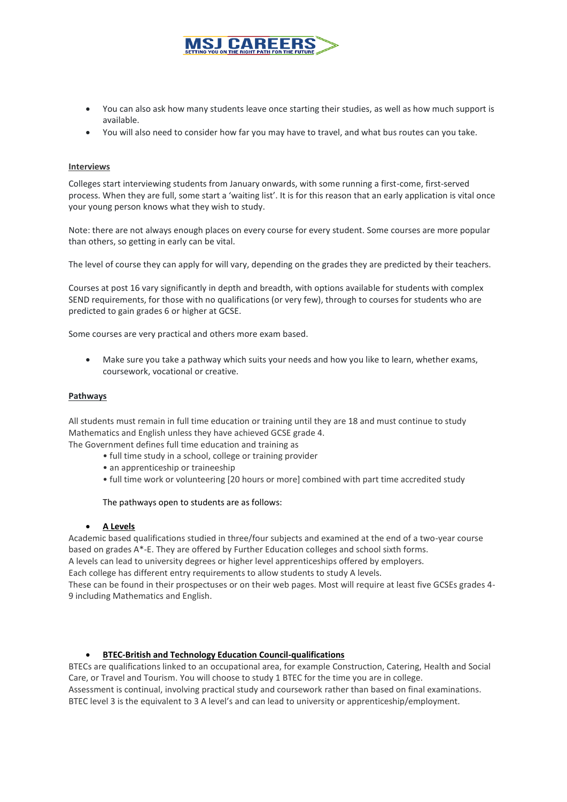

- You can also ask how many students leave once starting their studies, as well as how much support is available.
- You will also need to consider how far you may have to travel, and what bus routes can you take.

#### **Interviews**

Colleges start interviewing students from January onwards, with some running a first-come, first-served process. When they are full, some start a 'waiting list'. It is for this reason that an early application is vital once your young person knows what they wish to study.

Note: there are not always enough places on every course for every student. Some courses are more popular than others, so getting in early can be vital.

The level of course they can apply for will vary, depending on the grades they are predicted by their teachers.

Courses at post 16 vary significantly in depth and breadth, with options available for students with complex SEND requirements, for those with no qualifications (or very few), through to courses for students who are predicted to gain grades 6 or higher at GCSE.

Some courses are very practical and others more exam based.

 Make sure you take a pathway which suits your needs and how you like to learn, whether exams, coursework, vocational or creative.

#### **Pathways**

All students must remain in full time education or training until they are 18 and must continue to study Mathematics and English unless they have achieved GCSE grade 4.

The Government defines full time education and training as

- full time study in a school, college or training provider
- an apprenticeship or traineeship
- full time work or volunteering [20 hours or more] combined with part time accredited study

The pathways open to students are as follows:

#### **A Levels**

Academic based qualifications studied in three/four subjects and examined at the end of a two-year course based on grades A\*-E. They are offered by Further Education colleges and school sixth forms.

A levels can lead to university degrees or higher level apprenticeships offered by employers.

Each college has different entry requirements to allow students to study A levels.

These can be found in their prospectuses or on their web pages. Most will require at least five GCSEs grades 4- 9 including Mathematics and English.

## **BTEC-British and Technology Education Council-qualifications**

BTECs are qualifications linked to an occupational area, for example Construction, Catering, Health and Social Care, or Travel and Tourism. You will choose to study 1 BTEC for the time you are in college. Assessment is continual, involving practical study and coursework rather than based on final examinations. BTEC level 3 is the equivalent to 3 A level's and can lead to university or apprenticeship/employment.